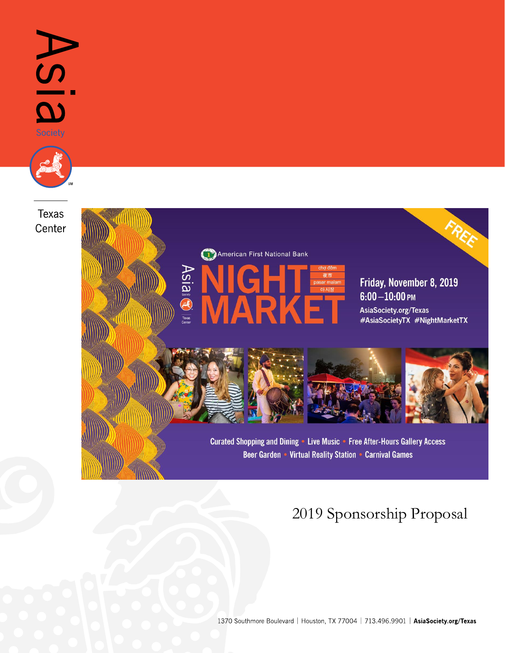

## 2019 Sponsorship Proposal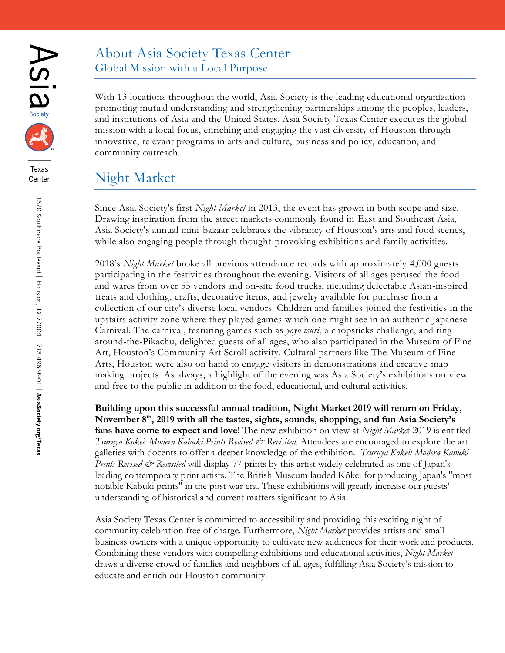



### About Asia Society Texas Center Global Mission with a Local Purpose

With 13 locations throughout the world, Asia Society is the leading educational organization promoting mutual understanding and strengthening partnerships among the peoples, leaders, and institutions of Asia and the United States. Asia Society Texas Center executes the global mission with a local focus, enriching and engaging the vast diversity of Houston through innovative, relevant programs in arts and culture, business and policy, education, and community outreach.

## Night Market

Since Asia Society's first *Night Market* in 2013, the event has grown in both scope and size. Drawing inspiration from the street markets commonly found in East and Southeast Asia, Asia Society's annual mini-bazaar celebrates the vibrancy of Houston's arts and food scenes, while also engaging people through thought-provoking exhibitions and family activities.

2018's *Night Market* broke all previous attendance records with approximately 4,000 guests participating in the festivities throughout the evening. Visitors of all ages perused the food and wares from over 55 vendors and on-site food trucks, including delectable Asian-inspired treats and clothing, crafts, decorative items, and jewelry available for purchase from a collection of our city's diverse local vendors. Children and families joined the festivities in the upstairs activity zone where they played games which one might see in an authentic Japanese Carnival. The carnival, featuring games such as *yoyo tsuri*, a chopsticks challenge, and ringaround-the-Pikachu, delighted guests of all ages, who also participated in the Museum of Fine Art, Houston's Community Art Scroll activity. Cultural partners like The Museum of Fine Arts, Houston were also on hand to engage visitors in demonstrations and creative map making projects. As always, a highlight of the evening was Asia Society's exhibitions on view and free to the public in addition to the food, educational, and cultural activities.

**Building upon this successful annual tradition, Night Market 2019 will return on Friday, November 8th , 2019 with all the tastes, sights, sounds, shopping, and fun Asia Society's fans have come to expect and love!** The new exhibition on view at *Night Marke*t 2019 is entitled *Tsuruya Kokei: Modern Kabuki Prints Revised & Revisited*. Attendees are encouraged to explore the art galleries with docents to offer a deeper knowledge of the exhibition. *Tsuruya Kokei: Modern Kabuki Prints Revised & Revisited* will display 77 prints by this artist widely celebrated as one of Japan's leading contemporary print artists. The British Museum lauded Kōkei for producing Japan's "most notable Kabuki prints" in the post-war era. These exhibitions will greatly increase our guests' understanding of historical and current matters significant to Asia.

Asia Society Texas Center is committed to accessibility and providing this exciting night of community celebration free of charge. Furthermore, *Night Market* provides artists and small business owners with a unique opportunity to cultivate new audiences for their work and products. Combining these vendors with compelling exhibitions and educational activities, *Night Market*  draws a diverse crowd of families and neighbors of all ages, fulfilling Asia Society's mission to educate and enrich our Houston community.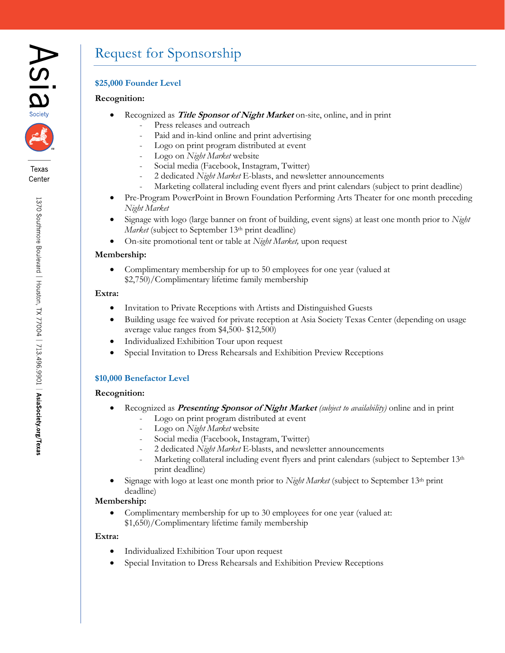



## Request for Sponsorship

#### **\$25,000 Founder Level**

#### **Recognition:**

- Recognized as **Title Sponsor of Night Market** on-site, online, and in print
	- Press releases and outreach
	- Paid and in-kind online and print advertising
	- Logo on print program distributed at event
	- Logo on *Night Market* website
	- Social media (Facebook, Instagram, Twitter)
	- 2 dedicated *Night Market* E-blasts, and newsletter announcements
	- Marketing collateral including event flyers and print calendars (subject to print deadline)
- Pre-Program PowerPoint in Brown Foundation Performing Arts Theater for one month preceding *Night Market*
- Signage with logo (large banner on front of building, event signs) at least one month prior to *Night Market* (subject to September 13<sup>th</sup> print deadline)
- On-site promotional tent or table at *Night Market,* upon request

#### **Membership:**

 Complimentary membership for up to 50 employees for one year (valued at \$2,750)/Complimentary lifetime family membership

#### **Extra:**

- Invitation to Private Receptions with Artists and Distinguished Guests
- Building usage fee waived for private reception at Asia Society Texas Center (depending on usage average value ranges from \$4,500- \$12,500)
- Individualized Exhibition Tour upon request
- Special Invitation to Dress Rehearsals and Exhibition Preview Receptions

#### **\$10,000 Benefactor Level**

#### **Recognition:**

- Recognized as **Presenting Sponsor of Night Market** *(subject to availability)* online and in print
	- Logo on print program distributed at event
	- Logo on *Night Market* website
	- Social media (Facebook, Instagram, Twitter)
	- 2 dedicated *Night Market* E-blasts, and newsletter announcements
	- Marketing collateral including event flyers and print calendars (subject to September 13<sup>th</sup> print deadline)
- Signage with logo at least one month prior to *Night Market* (subject to September 13th print deadline)

#### **Membership:**

 Complimentary membership for up to 30 employees for one year (valued at: \$1,650)/Complimentary lifetime family membership

#### **Extra:**

- Individualized Exhibition Tour upon request
- Special Invitation to Dress Rehearsals and Exhibition Preview Receptions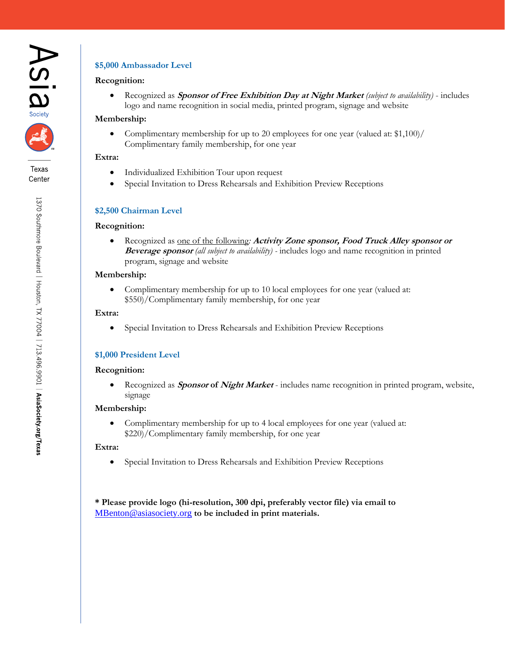



#### **\$5,000 Ambassador Level**

#### **Recognition:**

 Recognized as **Sponsor of Free Exhibition Day at Night Market** *(subject to availability)* - includes logo and name recognition in social media, printed program, signage and website

#### **Membership:**

 Complimentary membership for up to 20 employees for one year (valued at: \$1,100)/ Complimentary family membership, for one year

#### **Extra:**

- Individualized Exhibition Tour upon request
- Special Invitation to Dress Rehearsals and Exhibition Preview Receptions

#### **\$2,500 Chairman Level**

#### **Recognition:**

 Recognized as one of the following*:* **Activity Zone sponsor, Food Truck Alley sponsor or Beverage sponsor** *(all subject to availability) -* includes logo and name recognition in printed program, signage and website

#### **Membership:**

 Complimentary membership for up to 10 local employees for one year (valued at: \$550)/Complimentary family membership, for one year

#### **Extra:**

Special Invitation to Dress Rehearsals and Exhibition Preview Receptions

#### **\$1,000 President Level**

#### **Recognition:**

 Recognized as **Sponsor of Night Market** - includes name recognition in printed program, website, signage

#### **Membership:**

 Complimentary membership for up to 4 local employees for one year (valued at: \$220)/Complimentary family membership, for one year

#### **Extra:**

Special Invitation to Dress Rehearsals and Exhibition Preview Receptions

**\* Please provide logo (hi-resolution, 300 dpi, preferably vector file) via email to**  [MBenton@asiasociety.org](mailto:MBenton@asiasociety.org) **to be included in print materials.**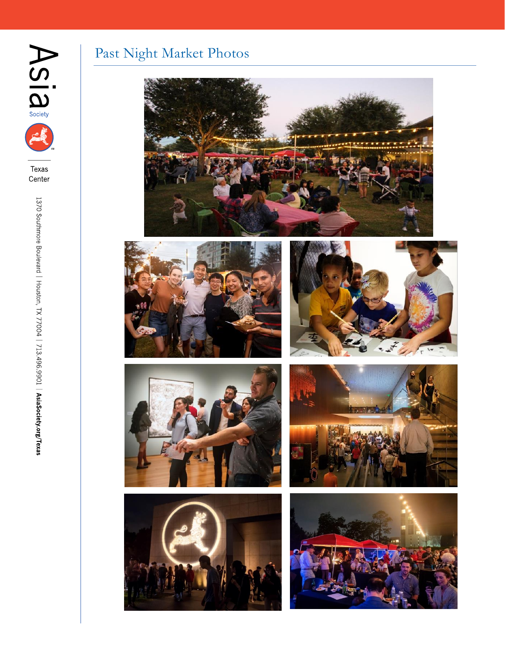

# E

Texas Center

## Past Night Market Photos













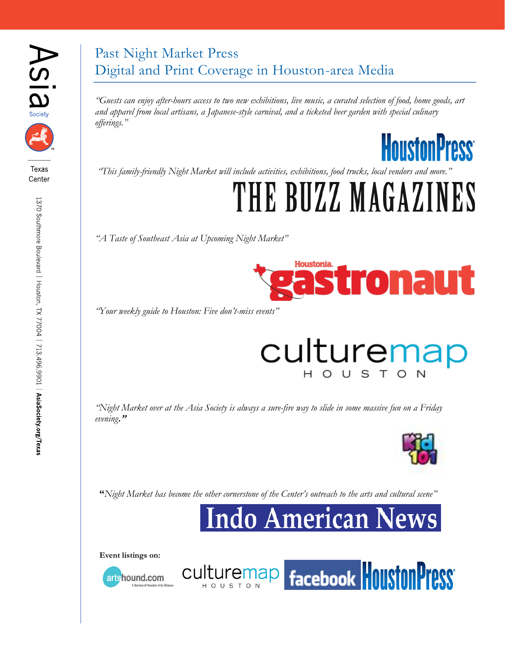



## Past Night Market Press Digital and Print Coverage in Houston-area Media

*"Guests can enjoy after-hours access to two new exhibitions, live music, a curated selection of food, home goods, art and apparel from local artisans, a Japanese-style carnival, and a ticketed beer garden with special culinary offerings."*

**HoustonPress** 

*"This family-friendly Night Market will include activities, exhibitions, food trucks, local vendors and more."*

# THE BUZZ MAGAZI

*"A Taste of Southeast Asia at Upcoming Night Market"*



*"Your weekly guide to Houston: Five don't-miss events"*

## culturemap H O U

facebook Houston Press

*"Night Market over at the Asia Society is always a sure-fire way to slide in some massive fun on a Friday evening***."**



**"***Night Market has become the other cornerstone of the Center's outreach to the arts and cultural scene"*

culturemap |

**Indo American News** 

**Event listings on:**